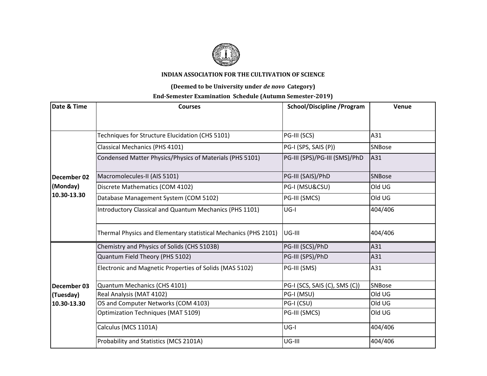

## **INDIAN ASSOCIATION FOR THE CULTIVATION OF SCIENCE**

## **(Deemed to be University under** *de novo* **Category)**

## **End-Semester Examination Schedule (Autumn Semester-2019)**

| Date & Time                            | <b>Courses</b>                                                  | <b>School/Discipline /Program</b> | Venue         |
|----------------------------------------|-----------------------------------------------------------------|-----------------------------------|---------------|
|                                        |                                                                 |                                   |               |
| December 02<br>(Monday)<br>10.30-13.30 | Techniques for Structure Elucidation (CHS 5101)                 | PG-III (SCS)                      | A31           |
|                                        | Classical Mechanics (PHS 4101)                                  | PG-I (SPS, SAIS (P))              | SNBose        |
|                                        | Condensed Matter Physics/Physics of Materials (PHS 5101)        | PG-III (SPS)/PG-III (SMS)/PhD     | A31           |
|                                        | Macromolecules-II (AIS 5101)                                    | PG-III (SAIS)/PhD                 | <b>SNBose</b> |
|                                        | Discrete Mathematics (COM 4102)                                 | PG-I (MSU&CSU)                    | Old UG        |
|                                        | Database Management System (COM 5102)                           | PG-III (SMCS)                     | Old UG        |
|                                        | Introductory Classical and Quantum Mechanics (PHS 1101)         | $UG-I$                            | 404/406       |
|                                        | Thermal Physics and Elementary statistical Mechanics (PHS 2101) | UG-III                            | 404/406       |
|                                        | Chemistry and Physics of Solids (CHS 5103B)                     | PG-III (SCS)/PhD                  | A31           |
|                                        | Quantum Field Theory (PHS 5102)                                 | PG-III (SPS)/PhD                  | A31           |
|                                        | Electronic and Magnetic Properties of Solids (MAS 5102)         | PG-III (SMS)                      | A31           |
| December 03                            | Quantum Mechanics (CHS 4101)                                    | PG-I (SCS, SAIS (C), SMS (C))     | <b>SNBose</b> |
| (Tuesday)                              | Real Analysis (MAT 4102)                                        | PG-I (MSU)                        | Old UG        |
| 10.30-13.30                            | OS and Computer Networks (COM 4103)                             | PG-I (CSU)                        | Old UG        |
|                                        | <b>Optimization Techniques (MAT 5109)</b>                       | PG-III (SMCS)                     | Old UG        |
|                                        | Calculus (MCS 1101A)                                            | $UG-I$                            | 404/406       |
|                                        | Probability and Statistics (MCS 2101A)                          | UG-III                            | 404/406       |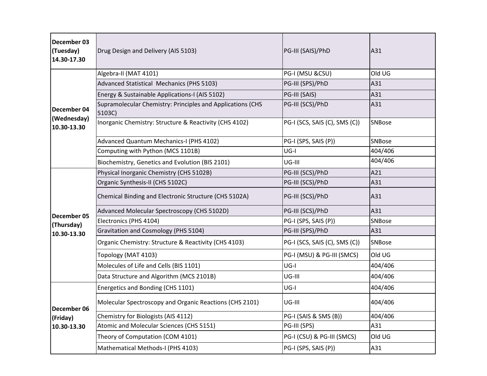| December 03<br>(Tuesday)<br>14.30-17.30   | Drug Design and Delivery (AIS 5103)                                  | PG-III (SAIS)/PhD             | A31     |
|-------------------------------------------|----------------------------------------------------------------------|-------------------------------|---------|
| December 04<br>(Wednesday)<br>10.30-13.30 | Algebra-II (MAT 4101)                                                | PG-I (MSU &CSU)               | Old UG  |
|                                           | Advanced Statistical Mechanics (PHS 5103)                            | PG-III (SPS)/PhD              | A31     |
|                                           | Energy & Sustainable Applications-I (AIS 5102)                       | PG-III (SAIS)                 | A31     |
|                                           | Supramolecular Chemistry: Principles and Applications (CHS<br>5103C) | PG-III (SCS)/PhD              | A31     |
|                                           | Inorganic Chemistry: Structure & Reactivity (CHS 4102)               | PG-I (SCS, SAIS (C), SMS (C)) | SNBose  |
|                                           | Advanced Quantum Mechanics-I (PHS 4102)                              | PG-I (SPS, SAIS (P))          | SNBose  |
|                                           | Computing with Python (MCS 1101B)                                    | $UG-I$                        | 404/406 |
|                                           | Biochemistry, Genetics and Evolution (BIS 2101)                      | UG-III                        | 404/406 |
| December 05                               | Physical Inorganic Chemistry (CHS 5102B)                             | PG-III (SCS)/PhD              | A21     |
|                                           | Organic Synthesis-II (CHS 5102C)                                     | PG-III (SCS)/PhD              | A31     |
|                                           | Chemical Binding and Electronic Structure (CHS 5102A)                | PG-III (SCS)/PhD              | A31     |
|                                           | Advanced Molecular Spectroscopy (CHS 5102D)                          | PG-III (SCS)/PhD              | A31     |
| (Thursday)                                | Electronics (PHS 4104)                                               | PG-I (SPS, SAIS (P))          | SNBose  |
| 10.30-13.30                               | Gravitation and Cosmology (PHS 5104)                                 | PG-III (SPS)/PhD              | A31     |
|                                           | Organic Chemistry: Structure & Reactivity (CHS 4103)                 | PG-I (SCS, SAIS (C), SMS (C)) | SNBose  |
|                                           | Topology (MAT 4103)                                                  | PG-I (MSU) & PG-III (SMCS)    | Old UG  |
|                                           | Molecules of Life and Cells (BIS 1101)                               | $UG-I$                        | 404/406 |
|                                           | Data Structure and Algorithm (MCS 2101B)                             | UG-III                        | 404/406 |
|                                           | Energetics and Bonding (CHS 1101)                                    | $UG-I$                        | 404/406 |
| December 06<br>(Friday)<br>10.30-13.30    | Molecular Spectroscopy and Organic Reactions (CHS 2101)              | UG-III                        | 404/406 |
|                                           | Chemistry for Biologists (AIS 4112)                                  | PG-I (SAIS & SMS (B))         | 404/406 |
|                                           | Atomic and Molecular Sciences (CHS 5151)                             | PG-III (SPS)                  | A31     |
|                                           | Theory of Computation (COM 4101)                                     | PG-I (CSU) & PG-III (SMCS)    | Old UG  |
|                                           | Mathematical Methods-I (PHS 4103)                                    | PG-I (SPS, SAIS (P))          | A31     |